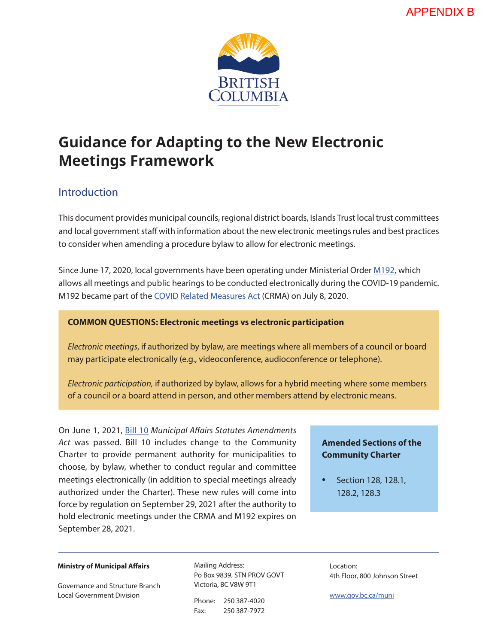

# **Guidance for Adapting to the New Electronic Meetings Framework**

### **Introduction**

This document provides municipal councils, regional district boards, Islands Trust local trust committees and local government staff with information about the new electronic meetings rules and best practices to consider when amending a procedure bylaw to allow for electronic meetings.

Since June 17, 2020, local governments have been operating under Ministerial Order [M192](https://www.bclaws.gov.bc.ca/civix/document/id/mo/mo/m0192_2020), which allows all meetings and public hearings to be conducted electronically during the COVID-19 pandemic. M192 became part of the [COVID Related Measures Act](https://www.bclaws.gov.bc.ca/civix/document/id/complete/statreg/20008) (CRMA) on July 8, 2020.

### **COMMON QUESTIONS: Electronic meetings vs electronic participation**

*Electronic meetings*, if authorized by bylaw, are meetings where all members of a council or board may participate electronically (e.g., videoconference, audioconference or telephone).

*Electronic participation,* if authorized by bylaw, allows for a hybrid meeting where some members of a council or a board attend in person, and other members attend by electronic means.

On June 1, 2021, [Bill 10](https://www.leg.bc.ca/parliamentary-business/legislation-debates-proceedings/42nd-parliament/2nd-session/bills/third-reading/gov10-3) *Municipal Affairs Statutes Amendments Act* was passed. Bill 10 includes change to the Community Charter to provide permanent authority for municipalities to choose, by bylaw, whether to conduct regular and committee meetings electronically (in addition to special meetings already authorized under the Charter). These new rules will come into force by regulation on September 29, 2021 after the authority to hold electronic meetings under the CRMA and M192 expires on September 28, 2021.

### **Amended Sections of the Community Charter**

• Section 128, 128.1, 128.2, 128.3

#### **Ministry of Municipal Affairs**

Governance and Structure Branch Local Government Division

Mailing Address: Po Box 9839, STN PROV GOVT Victoria, BC V8W 9T1

Phone: 250 387-4020 Fax: 250 387-7972

Location: 4th Floor, 800 Johnson Street

[www.gov.bc.ca/muni](http://www.gov.bc.ca/muni)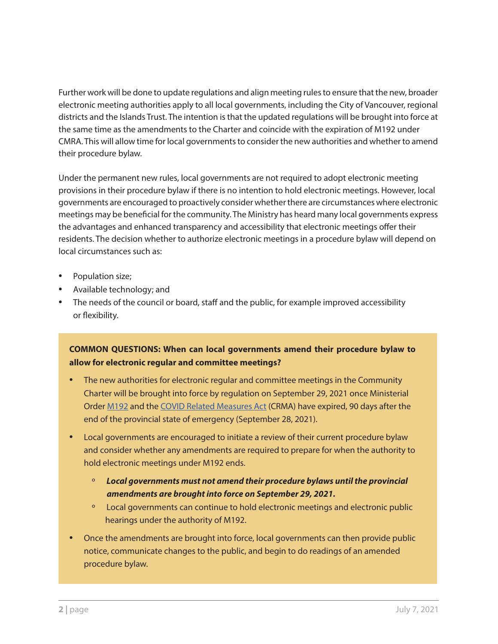Further work will be done to update regulations and align meeting rules to ensure that the new, broader electronic meeting authorities apply to all local governments, including the City of Vancouver, regional districts and the Islands Trust. The intention is that the updated regulations will be brought into force at the same time as the amendments to the Charter and coincide with the expiration of M192 under CMRA. This will allow time for local governments to consider the new authorities and whether to amend their procedure bylaw.

Under the permanent new rules, local governments are not required to adopt electronic meeting provisions in their procedure bylaw if there is no intention to hold electronic meetings. However, local governments are encouraged to proactively consider whether there are circumstances where electronic meetings may be beneficial for the community. The Ministry has heard many local governments express the advantages and enhanced transparency and accessibility that electronic meetings offer their residents. The decision whether to authorize electronic meetings in a procedure bylaw will depend on local circumstances such as:

- Population size;
- Available technology; and
- The needs of the council or board, staff and the public, for example improved accessibility or flexibility.

### **COMMON QUESTIONS: When can local governments amend their procedure bylaw to allow for electronic regular and committee meetings?**

- The new authorities for electronic regular and committee meetings in the Community Charter will be brought into force by regulation on September 29, 2021 once Ministerial Order [M192](https://www.bclaws.gov.bc.ca/civix/document/id/mo/mo/m0192_2020) and the [COVID Related Measures Act](https://www.bclaws.gov.bc.ca/civix/document/id/complete/statreg/20008) (CRMA) have expired, 90 days after the end of the provincial state of emergency (September 28, 2021).
- Local governments are encouraged to initiate a review of their current procedure bylaw and consider whether any amendments are required to prepare for when the authority to hold electronic meetings under M192 ends.
	- º *Local governments must not amend their procedure bylaws until the provincial amendments are brought into force on September 29, 2021.*
	- º Local governments can continue to hold electronic meetings and electronic public hearings under the authority of M192.
- Once the amendments are brought into force, local governments can then provide public notice, communicate changes to the public, and begin to do readings of an amended procedure bylaw.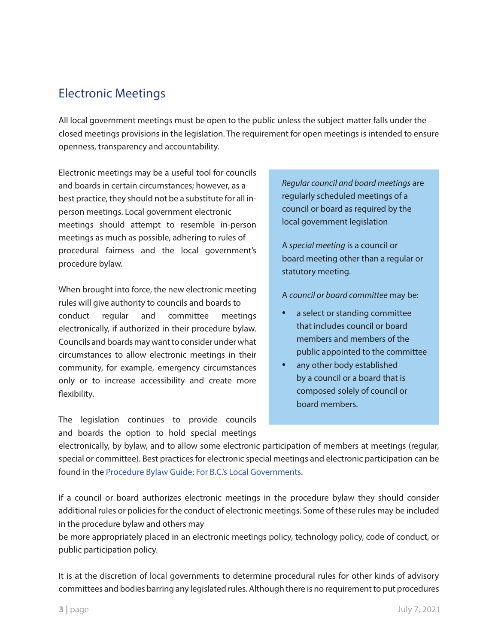## Electronic Meetings

All local government meetings must be open to the public unless the subject matter falls under the closed meetings provisions in the legislation. The requirement for open meetings is intended to ensure openness, transparency and accountability.

Electronic meetings may be a useful tool for councils and boards in certain circumstances; however, as a best practice, they should not be a substitute for all inperson meetings. Local government electronic meetings should attempt to resemble in-person meetings as much as possible, adhering to rules of procedural fairness and the local government's procedure bylaw.

When brought into force, the new electronic meeting rules will give authority to councils and boards to conduct regular and committee meetings electronically, if authorized in their procedure bylaw. Councils and boards may want to consider under what circumstances to allow electronic meetings in their community, for example, emergency circumstances only or to increase accessibility and create more flexibility.

The legislation continues to provide councils and boards the option to hold special meetings

*Regular council and board meetings* are regularly scheduled meetings of a council or board as required by the local government legislation

A *special meeting* is a council or board meeting other than a regular or statutory meeting.

A *council or board committee* may be:

- a select or standing committee that includes council or board members and members of the public appointed to the committee
- any other body established by a council or a board that is composed solely of council or board members.

electronically, by bylaw, and to allow some electronic participation of members at meetings (regular, special or committee). Best practices for electronic special meetings and electronic participation can be found in the [Procedure Bylaw Guide: For B.C.'s Local Governments](https://www2.gov.bc.ca/assets/gov/british-columbians-our-governments/local-governments/governance-powers/procedure_bylaw_guide_for_bc_local_governments_december_2020.pdf).

If a council or board authorizes electronic meetings in the procedure bylaw they should consider additional rules or policies for the conduct of electronic meetings. Some of these rules may be included in the procedure bylaw and others may

be more appropriately placed in an electronic meetings policy, technology policy, code of conduct, or public participation policy.

It is at the discretion of local governments to determine procedural rules for other kinds of advisory committees and bodies barring any legislated rules. Although there is no requirement to put procedures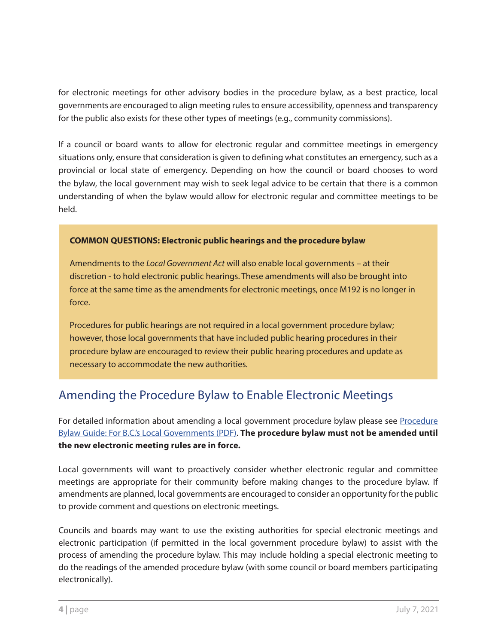for electronic meetings for other advisory bodies in the procedure bylaw, as a best practice, local governments are encouraged to align meeting rules to ensure accessibility, openness and transparency for the public also exists for these other types of meetings (e.g., community commissions).

If a council or board wants to allow for electronic regular and committee meetings in emergency situations only, ensure that consideration is given to defining what constitutes an emergency, such as a provincial or local state of emergency. Depending on how the council or board chooses to word the bylaw, the local government may wish to seek legal advice to be certain that there is a common understanding of when the bylaw would allow for electronic regular and committee meetings to be held.

### **COMMON QUESTIONS: Electronic public hearings and the procedure bylaw**

Amendments to the *Local Government Act* will also enable local governments – at their discretion - to hold electronic public hearings. These amendments will also be brought into force at the same time as the amendments for electronic meetings, once M192 is no longer in force.

Procedures for public hearings are not required in a local government procedure bylaw; however, those local governments that have included public hearing procedures in their procedure bylaw are encouraged to review their public hearing procedures and update as necessary to accommodate the new authorities.

# Amending the Procedure Bylaw to Enable Electronic Meetings

For detailed information about amending a local government procedure bylaw please see [Procedure](https://www2.gov.bc.ca/assets/gov/british-columbians-our-governments/local-governments/governance-powers/procedure_bylaw_guide_for_bc_local_governments_december_2020.pdf)  [Bylaw Guide: For B.C.'s Local Governments \(PDF\).](https://www2.gov.bc.ca/assets/gov/british-columbians-our-governments/local-governments/governance-powers/procedure_bylaw_guide_for_bc_local_governments_december_2020.pdf) **The procedure bylaw must not be amended until the new electronic meeting rules are in force.**

Local governments will want to proactively consider whether electronic regular and committee meetings are appropriate for their community before making changes to the procedure bylaw. If amendments are planned, local governments are encouraged to consider an opportunity for the public to provide comment and questions on electronic meetings.

Councils and boards may want to use the existing authorities for special electronic meetings and electronic participation (if permitted in the local government procedure bylaw) to assist with the process of amending the procedure bylaw. This may include holding a special electronic meeting to do the readings of the amended procedure bylaw (with some council or board members participating electronically).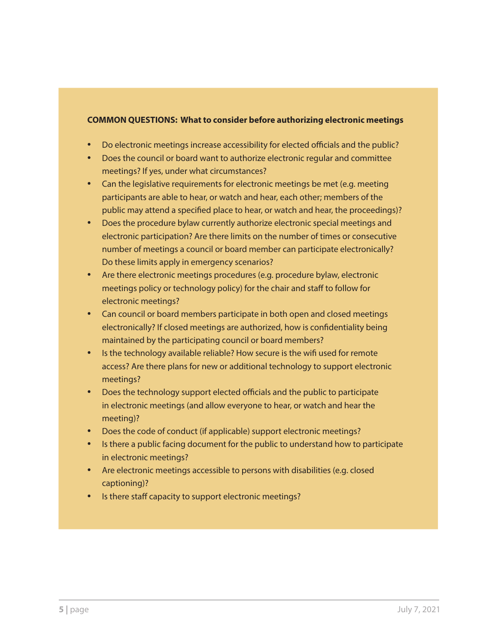### **COMMON QUESTIONS: What to consider before authorizing electronic meetings**

- Do electronic meetings increase accessibility for elected officials and the public?
- Does the council or board want to authorize electronic regular and committee meetings? If yes, under what circumstances?
- Can the legislative requirements for electronic meetings be met (e.g. meeting participants are able to hear, or watch and hear, each other; members of the public may attend a specified place to hear, or watch and hear, the proceedings)?
- Does the procedure bylaw currently authorize electronic special meetings and electronic participation? Are there limits on the number of times or consecutive number of meetings a council or board member can participate electronically? Do these limits apply in emergency scenarios?
- Are there electronic meetings procedures (e.g. procedure bylaw, electronic meetings policy or technology policy) for the chair and staff to follow for electronic meetings?
- Can council or board members participate in both open and closed meetings electronically? If closed meetings are authorized, how is confidentiality being maintained by the participating council or board members?
- Is the technology available reliable? How secure is the wifi used for remote access? Are there plans for new or additional technology to support electronic meetings?
- Does the technology support elected officials and the public to participate in electronic meetings (and allow everyone to hear, or watch and hear the meeting)?
- Does the code of conduct (if applicable) support electronic meetings?
- Is there a public facing document for the public to understand how to participate in electronic meetings?
- Are electronic meetings accessible to persons with disabilities (e.g. closed captioning)?
- Is there staff capacity to support electronic meetings?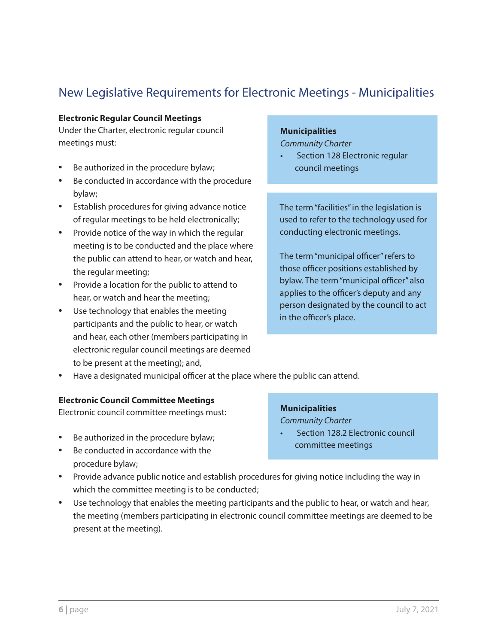# New Legislative Requirements for Electronic Meetings - Municipalities

#### **Electronic Regular Council Meetings**

Under the Charter, electronic regular council meetings must:

- Be authorized in the procedure bylaw;
- Be conducted in accordance with the procedure bylaw;
- Establish procedures for giving advance notice of regular meetings to be held electronically;
- Provide notice of the way in which the regular meeting is to be conducted and the place where the public can attend to hear, or watch and hear, the regular meeting;
- Provide a location for the public to attend to hear, or watch and hear the meeting;
- Use technology that enables the meeting participants and the public to hear, or watch and hear, each other (members participating in electronic regular council meetings are deemed to be present at the meeting); and,

#### **Municipalities**

*Community Charter*

Section 128 Electronic regular council meetings

The term "facilities" in the legislation is used to refer to the technology used for conducting electronic meetings.

The term "municipal officer" refers to those officer positions established by bylaw. The term "municipal officer" also applies to the officer's deputy and any person designated by the council to act in the officer's place.

Have a designated municipal officer at the place where the public can attend.

#### **Electronic Council Committee Meetings**

Electronic council committee meetings must:

- Be authorized in the procedure bylaw;
- Be conducted in accordance with the procedure bylaw;

### **Municipalities**

*Community Charter*

- Section 128.2 Electronic council committee meetings
- Provide advance public notice and establish procedures for giving notice including the way in which the committee meeting is to be conducted;
- Use technology that enables the meeting participants and the public to hear, or watch and hear, the meeting (members participating in electronic council committee meetings are deemed to be present at the meeting).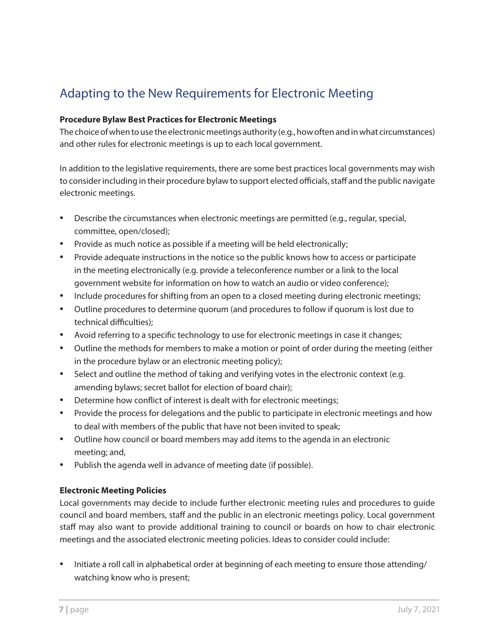# Adapting to the New Requirements for Electronic Meeting

#### **Procedure Bylaw Best Practices for Electronic Meetings**

The choice of when to use the electronic meetings authority (e.g., how often and in what circumstances) and other rules for electronic meetings is up to each local government.

In addition to the legislative requirements, there are some best practices local governments may wish to consider including in their procedure bylaw to support elected officials, staff and the public navigate electronic meetings.

- Describe the circumstances when electronic meetings are permitted (e.g., regular, special, committee, open/closed);
- Provide as much notice as possible if a meeting will be held electronically;
- Provide adequate instructions in the notice so the public knows how to access or participate in the meeting electronically (e.g. provide a teleconference number or a link to the local government website for information on how to watch an audio or video conference);
- Include procedures for shifting from an open to a closed meeting during electronic meetings;
- Outline procedures to determine quorum (and procedures to follow if quorum is lost due to technical difficulties);
- Avoid referring to a specific technology to use for electronic meetings in case it changes;
- Outline the methods for members to make a motion or point of order during the meeting (either in the procedure bylaw or an electronic meeting policy);
- Select and outline the method of taking and verifying votes in the electronic context (e.g. amending bylaws; secret ballot for election of board chair);
- Determine how conflict of interest is dealt with for electronic meetings;
- Provide the process for delegations and the public to participate in electronic meetings and how to deal with members of the public that have not been invited to speak;
- Outline how council or board members may add items to the agenda in an electronic meeting; and,
- Publish the agenda well in advance of meeting date (if possible).

### **Electronic Meeting Policies**

Local governments may decide to include further electronic meeting rules and procedures to guide council and board members, staff and the public in an electronic meetings policy. Local government staff may also want to provide additional training to council or boards on how to chair electronic meetings and the associated electronic meeting policies. Ideas to consider could include:

• Initiate a roll call in alphabetical order at beginning of each meeting to ensure those attending/ watching know who is present;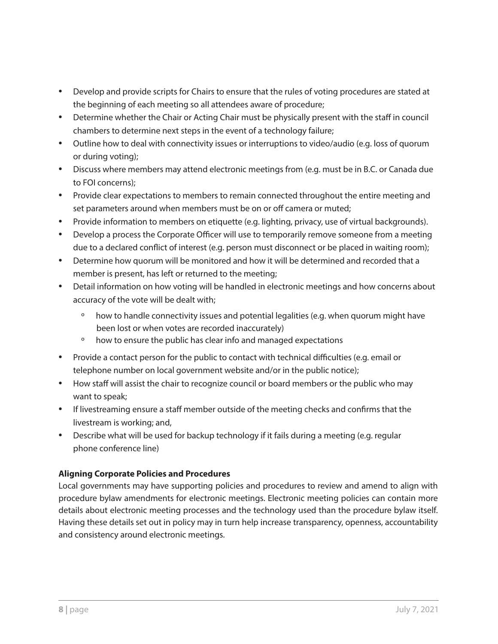- Develop and provide scripts for Chairs to ensure that the rules of voting procedures are stated at the beginning of each meeting so all attendees aware of procedure;
- Determine whether the Chair or Acting Chair must be physically present with the staff in council chambers to determine next steps in the event of a technology failure;
- Outline how to deal with connectivity issues or interruptions to video/audio (e.g. loss of quorum or during voting);
- Discuss where members may attend electronic meetings from (e.g. must be in B.C. or Canada due to FOI concerns);
- Provide clear expectations to members to remain connected throughout the entire meeting and set parameters around when members must be on or off camera or muted;
- Provide information to members on etiquette (e.g. lighting, privacy, use of virtual backgrounds).
- Develop a process the Corporate Officer will use to temporarily remove someone from a meeting due to a declared conflict of interest (e.g. person must disconnect or be placed in waiting room);
- Determine how quorum will be monitored and how it will be determined and recorded that a member is present, has left or returned to the meeting;
- Detail information on how voting will be handled in electronic meetings and how concerns about accuracy of the vote will be dealt with;
	- º how to handle connectivity issues and potential legalities (e.g. when quorum might have been lost or when votes are recorded inaccurately)
	- º how to ensure the public has clear info and managed expectations
- Provide a contact person for the public to contact with technical difficulties (e.g. email or telephone number on local government website and/or in the public notice);
- How staff will assist the chair to recognize council or board members or the public who may want to speak;
- If livestreaming ensure a staff member outside of the meeting checks and confirms that the livestream is working; and,
- Describe what will be used for backup technology if it fails during a meeting (e.g. regular phone conference line)

### **Aligning Corporate Policies and Procedures**

Local governments may have supporting policies and procedures to review and amend to align with procedure bylaw amendments for electronic meetings. Electronic meeting policies can contain more details about electronic meeting processes and the technology used than the procedure bylaw itself. Having these details set out in policy may in turn help increase transparency, openness, accountability and consistency around electronic meetings.